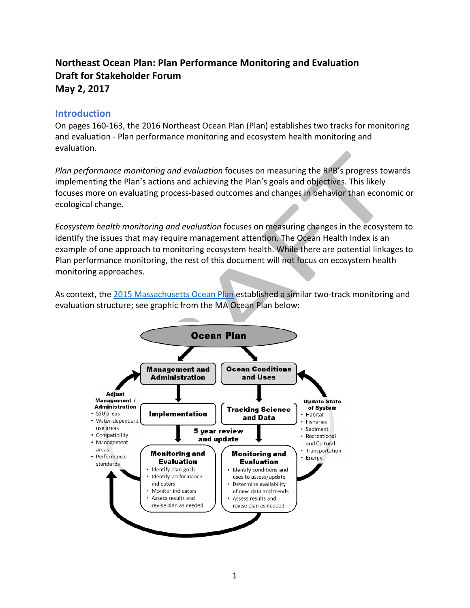# **Northeast Ocean Plan: Plan Performance Monitoring and Evaluation Draft for Stakeholder Forum May 2, 2017**

# **Introduction**

On pages 160-163, the 2016 Northeast Ocean Plan (Plan) establishes two tracks for monitoring and evaluation - Plan performance monitoring and ecosystem health monitoring and evaluation. 

*Plan performance monitoring and evaluation* focuses on measuring the RPB's progress towards implementing the Plan's actions and achieving the Plan's goals and objectives. This likely focuses more on evaluating process-based outcomes and changes in behavior than economic or ecological change.

*Ecosystem health monitoring and evaluation* focuses on measuring changes in the ecosystem to identify the issues that may require management attention. The Ocean Health Index is an example of one approach to monitoring ecosystem health. While there are potential linkages to Plan performance monitoring, the rest of this document will not focus on ecosystem health monitoring approaches. 

As context, the 2015 Massachusetts Ocean Plan established a similar two-track monitoring and evaluation structure; see graphic from the MA Ocean Plan below:

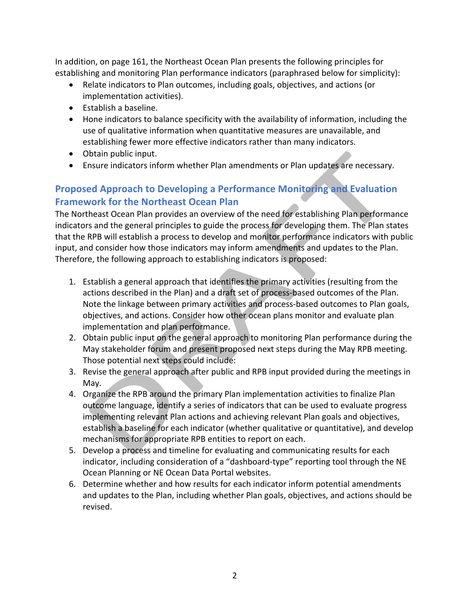In addition, on page 161, the Northeast Ocean Plan presents the following principles for establishing and monitoring Plan performance indicators (paraphrased below for simplicity):

- Relate indicators to Plan outcomes, including goals, objectives, and actions (or implementation activities).
- Establish a baseline.
- Hone indicators to balance specificity with the availability of information, including the use of qualitative information when quantitative measures are unavailable, and establishing fewer more effective indicators rather than many indicators.
- Obtain public input.
- Ensure indicators inform whether Plan amendments or Plan updates are necessary.

# **Proposed Approach to Developing a Performance Monitoring and Evaluation Framework for the Northeast Ocean Plan**

The Northeast Ocean Plan provides an overview of the need for establishing Plan performance indicators and the general principles to guide the process for developing them. The Plan states that the RPB will establish a process to develop and monitor performance indicators with public input, and consider how those indicators may inform amendments and updates to the Plan. Therefore, the following approach to establishing indicators is proposed:

- 1. Establish a general approach that identifies the primary activities (resulting from the actions described in the Plan) and a draft set of process-based outcomes of the Plan. Note the linkage between primary activities and process-based outcomes to Plan goals, objectives, and actions. Consider how other ocean plans monitor and evaluate plan implementation and plan performance.
- 2. Obtain public input on the general approach to monitoring Plan performance during the May stakeholder forum and present proposed next steps during the May RPB meeting. Those potential next steps could include:
- 3. Revise the general approach after public and RPB input provided during the meetings in May.
- 4. Organize the RPB around the primary Plan implementation activities to finalize Plan outcome language, identify a series of indicators that can be used to evaluate progress implementing relevant Plan actions and achieving relevant Plan goals and objectives, establish a baseline for each indicator (whether qualitative or quantitative), and develop mechanisms for appropriate RPB entities to report on each.
- 5. Develop a process and timeline for evaluating and communicating results for each indicator, including consideration of a "dashboard-type" reporting tool through the NE Ocean Planning or NE Ocean Data Portal websites.
- 6. Determine whether and how results for each indicator inform potential amendments and updates to the Plan, including whether Plan goals, objectives, and actions should be revised.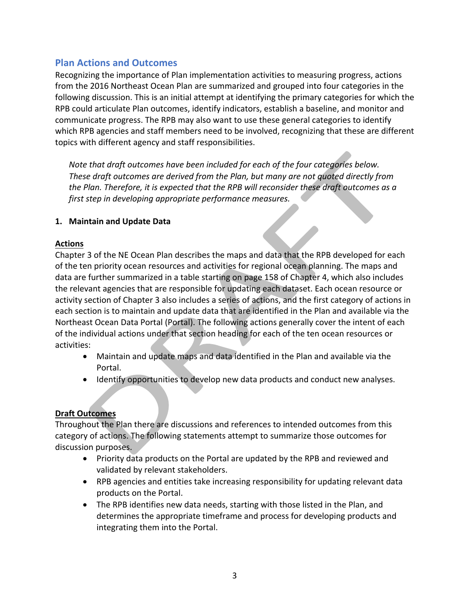# **Plan Actions and Outcomes**

Recognizing the importance of Plan implementation activities to measuring progress, actions from the 2016 Northeast Ocean Plan are summarized and grouped into four categories in the following discussion. This is an initial attempt at identifying the primary categories for which the RPB could articulate Plan outcomes, identify indicators, establish a baseline, and monitor and communicate progress. The RPB may also want to use these general categories to identify which RPB agencies and staff members need to be involved, recognizing that these are different topics with different agency and staff responsibilities.

*Note that draft outcomes have been included for each of the four categories below. These* draft outcomes are derived from the Plan, but many are not quoted directly from *the* Plan. Therefore, it is expected that the RPB will reconsider these draft outcomes as a *first step in developing appropriate performance measures.* 

## 1. Maintain and Update Data

## **Actions**

Chapter 3 of the NE Ocean Plan describes the maps and data that the RPB developed for each of the ten priority ocean resources and activities for regional ocean planning. The maps and data are further summarized in a table starting on page 158 of Chapter 4, which also includes the relevant agencies that are responsible for updating each dataset. Each ocean resource or activity section of Chapter 3 also includes a series of actions, and the first category of actions in each section is to maintain and update data that are identified in the Plan and available via the Northeast Ocean Data Portal (Portal). The following actions generally cover the intent of each of the individual actions under that section heading for each of the ten ocean resources or activities:

- Maintain and update maps and data identified in the Plan and available via the Portal.
- Identify opportunities to develop new data products and conduct new analyses.

# **Draft Outcomes**

Throughout the Plan there are discussions and references to intended outcomes from this category of actions. The following statements attempt to summarize those outcomes for discussion purposes.

- Priority data products on the Portal are updated by the RPB and reviewed and validated by relevant stakeholders.
- RPB agencies and entities take increasing responsibility for updating relevant data products on the Portal.
- The RPB identifies new data needs, starting with those listed in the Plan, and determines the appropriate timeframe and process for developing products and integrating them into the Portal.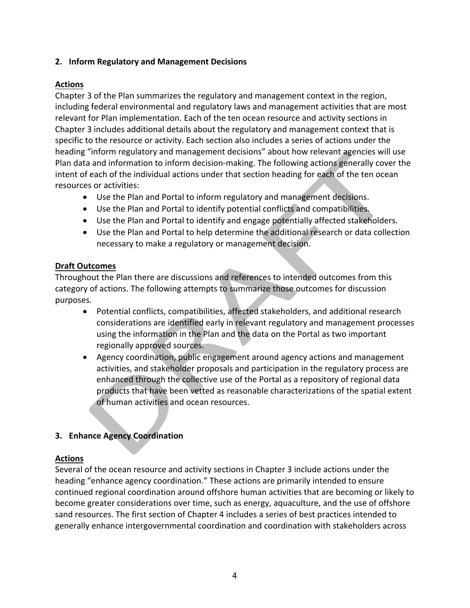#### **2. Inform Regulatory and Management Decisions**

#### **Actions**

Chapter 3 of the Plan summarizes the regulatory and management context in the region, including federal environmental and regulatory laws and management activities that are most relevant for Plan implementation. Each of the ten ocean resource and activity sections in Chapter 3 includes additional details about the regulatory and management context that is specific to the resource or activity. Each section also includes a series of actions under the heading "inform regulatory and management decisions" about how relevant agencies will use Plan data and information to inform decision-making. The following actions generally cover the intent of each of the individual actions under that section heading for each of the ten ocean resources or activities:

- Use the Plan and Portal to inform regulatory and management decisions.
- Use the Plan and Portal to identify potential conflicts and compatibilities.
- Use the Plan and Portal to identify and engage potentially affected stakeholders.
- Use the Plan and Portal to help determine the additional research or data collection necessary to make a regulatory or management decision.

#### **Draft Outcomes**

Throughout the Plan there are discussions and references to intended outcomes from this category of actions. The following attempts to summarize those outcomes for discussion purposes. 

- Potential conflicts, compatibilities, affected stakeholders, and additional research considerations are identified early in relevant regulatory and management processes using the information in the Plan and the data on the Portal as two important regionally approved sources.
- Agency coordination, public engagement around agency actions and management activities, and stakeholder proposals and participation in the regulatory process are enhanced through the collective use of the Portal as a repository of regional data products that have been vetted as reasonable characterizations of the spatial extent of human activities and ocean resources.

## **3. Enhance Agency Coordination**

## **Actions**

Several of the ocean resource and activity sections in Chapter 3 include actions under the heading "enhance agency coordination." These actions are primarily intended to ensure continued regional coordination around offshore human activities that are becoming or likely to become greater considerations over time, such as energy, aquaculture, and the use of offshore sand resources. The first section of Chapter 4 includes a series of best practices intended to generally enhance intergovernmental coordination and coordination with stakeholders across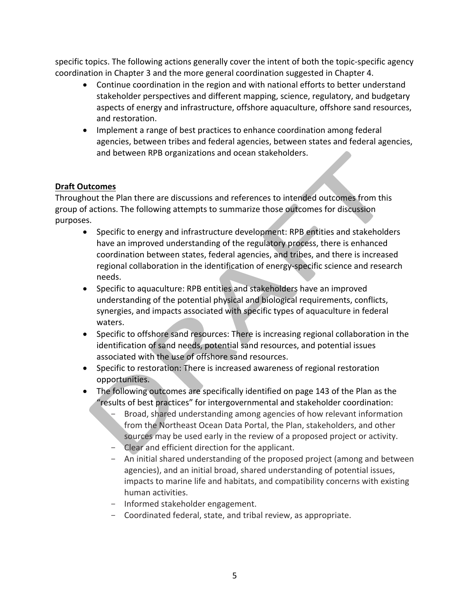specific topics. The following actions generally cover the intent of both the topic-specific agency coordination in Chapter 3 and the more general coordination suggested in Chapter 4.

- Continue coordination in the region and with national efforts to better understand stakeholder perspectives and different mapping, science, regulatory, and budgetary aspects of energy and infrastructure, offshore aquaculture, offshore sand resources, and restoration.
- Implement a range of best practices to enhance coordination among federal agencies, between tribes and federal agencies, between states and federal agencies, and between RPB organizations and ocean stakeholders.

## **Draft Outcomes**

Throughout the Plan there are discussions and references to intended outcomes from this group of actions. The following attempts to summarize those outcomes for discussion purposes. 

- Specific to energy and infrastructure development: RPB entities and stakeholders have an improved understanding of the regulatory process, there is enhanced coordination between states, federal agencies, and tribes, and there is increased regional collaboration in the identification of energy-specific science and research needs.
- Specific to aquaculture: RPB entities and stakeholders have an improved understanding of the potential physical and biological requirements, conflicts, synergies, and impacts associated with specific types of aquaculture in federal waters.
- Specific to offshore sand resources: There is increasing regional collaboration in the identification of sand needs, potential sand resources, and potential issues associated with the use of offshore sand resources.
- Specific to restoration: There is increased awareness of regional restoration opportunities.
- The following outcomes are specifically identified on page 143 of the Plan as the "results of best practices" for intergovernmental and stakeholder coordination:
	- Broad, shared understanding among agencies of how relevant information from the Northeast Ocean Data Portal, the Plan, stakeholders, and other sources may be used early in the review of a proposed project or activity.
	- Clear and efficient direction for the applicant.
	- An initial shared understanding of the proposed project (among and between agencies), and an initial broad, shared understanding of potential issues, impacts to marine life and habitats, and compatibility concerns with existing human activities.
	- Informed stakeholder engagement.
	- Coordinated federal, state, and tribal review, as appropriate.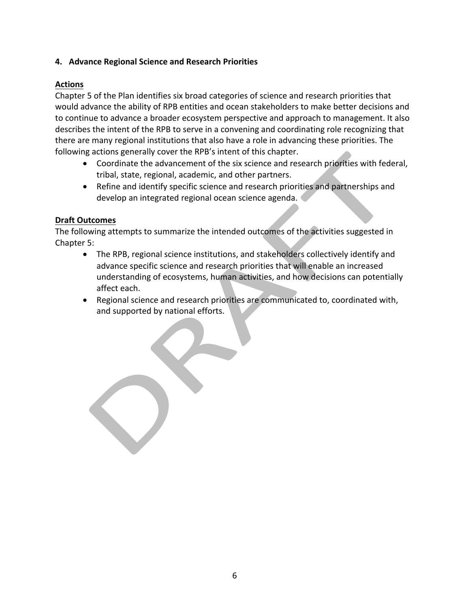## **4. Advance Regional Science and Research Priorities**

# **Actions**

Chapter 5 of the Plan identifies six broad categories of science and research priorities that would advance the ability of RPB entities and ocean stakeholders to make better decisions and to continue to advance a broader ecosystem perspective and approach to management. It also describes the intent of the RPB to serve in a convening and coordinating role recognizing that there are many regional institutions that also have a role in advancing these priorities. The following actions generally cover the RPB's intent of this chapter.

- Coordinate the advancement of the six science and research priorities with federal, tribal, state, regional, academic, and other partners.
- Refine and identify specific science and research priorities and partnerships and develop an integrated regional ocean science agenda.

#### **Draft Outcomes**

The following attempts to summarize the intended outcomes of the activities suggested in Chapter 5:

- The RPB, regional science institutions, and stakeholders collectively identify and advance specific science and research priorities that will enable an increased understanding of ecosystems, human activities, and how decisions can potentially affect each.
- Regional science and research priorities are communicated to, coordinated with, and supported by national efforts.